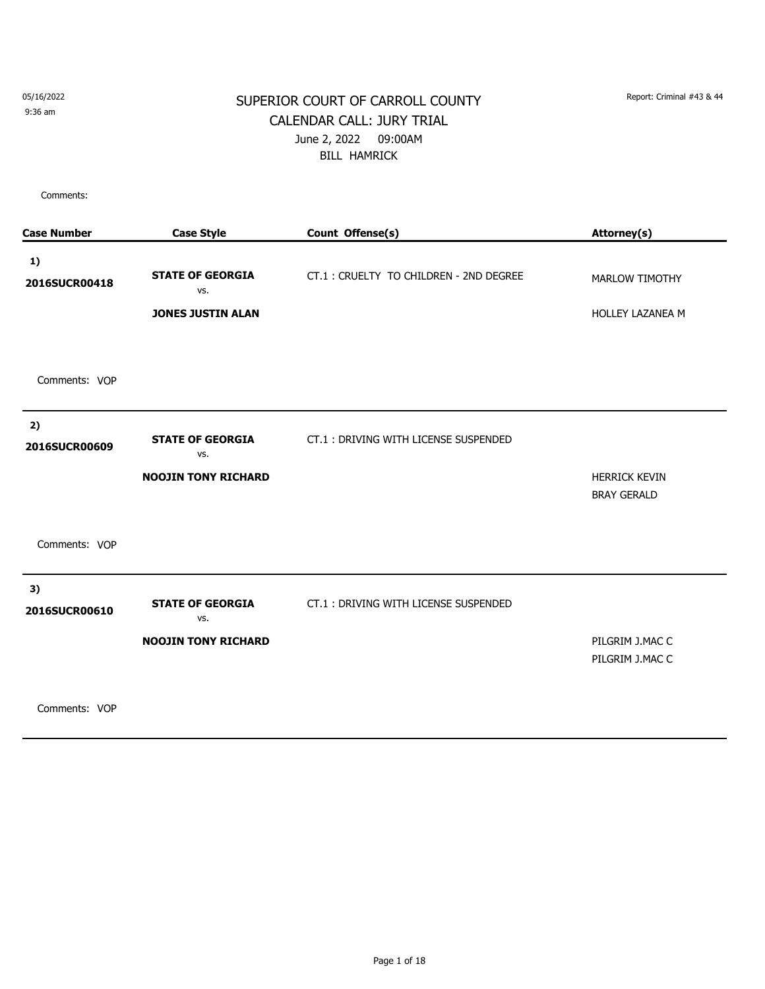9:36 am

#### SUPERIOR COURT OF CARROLL COUNTY Report: Criminal #43 & 44 CALENDAR CALL: JURY TRIAL June 2, 2022 09:00AM BILL HAMRICK

Comments:

| <b>Case Number</b>  | <b>Case Style</b>                                            | Count Offense(s)                        | Attorney(s)                                |
|---------------------|--------------------------------------------------------------|-----------------------------------------|--------------------------------------------|
| 1)<br>2016SUCR00418 | <b>STATE OF GEORGIA</b><br>VS.<br><b>JONES JUSTIN ALAN</b>   | CT.1 : CRUELTY TO CHILDREN - 2ND DEGREE | MARLOW TIMOTHY<br><b>HOLLEY LAZANEA M</b>  |
| Comments: VOP       |                                                              |                                         |                                            |
| 2)<br>2016SUCR00609 | <b>STATE OF GEORGIA</b><br>VS.<br><b>NOOJIN TONY RICHARD</b> | CT.1: DRIVING WITH LICENSE SUSPENDED    | <b>HERRICK KEVIN</b><br><b>BRAY GERALD</b> |
| Comments: VOP       |                                                              |                                         |                                            |
| 3)<br>2016SUCR00610 | <b>STATE OF GEORGIA</b><br>VS.<br><b>NOOJIN TONY RICHARD</b> | CT.1: DRIVING WITH LICENSE SUSPENDED    | PILGRIM J.MAC C<br>PILGRIM J.MAC C         |
|                     |                                                              |                                         |                                            |

Comments: VOP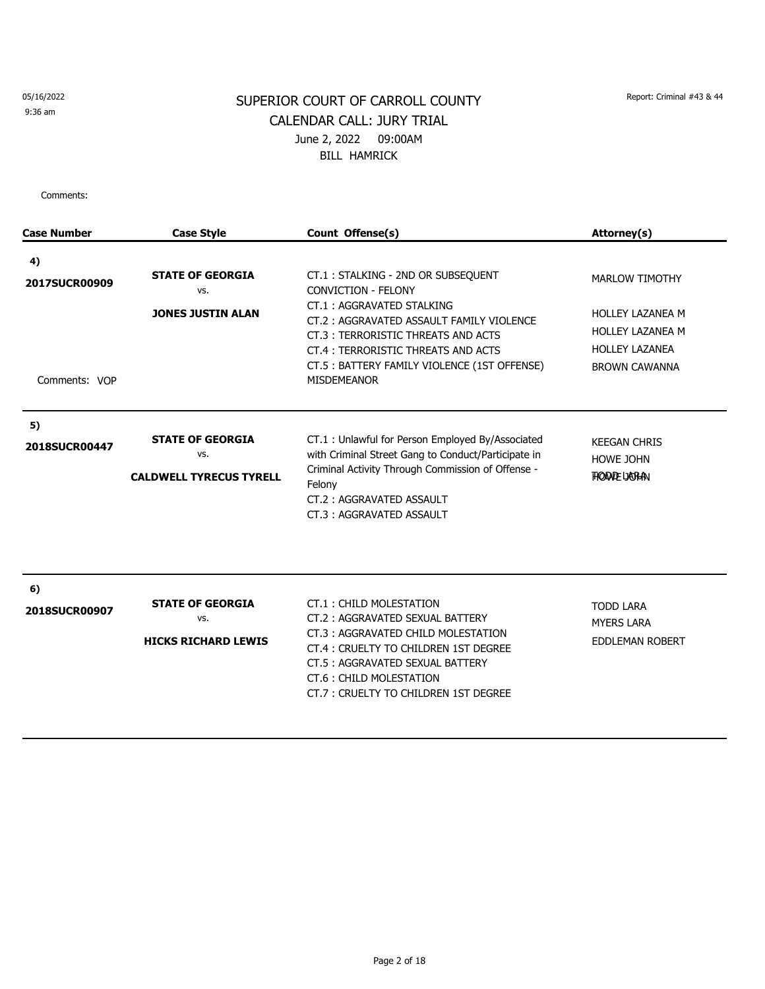#### 9:36 am

# SUPERIOR COURT OF CARROLL COUNTY Report: Criminal #43 & 44 CALENDAR CALL: JURY TRIAL June 2, 2022 09:00AM BILL HAMRICK

| <b>Case Number</b>                   | <b>Case Style</b>                                                | Count Offense(s)                                                                                                                                                                                                                                                                            | Attorney(s)                                                                                                                  |
|--------------------------------------|------------------------------------------------------------------|---------------------------------------------------------------------------------------------------------------------------------------------------------------------------------------------------------------------------------------------------------------------------------------------|------------------------------------------------------------------------------------------------------------------------------|
| 4)<br>2017SUCR00909<br>Comments: VOP | <b>STATE OF GEORGIA</b><br>VS.<br><b>JONES JUSTIN ALAN</b>       | CT.1: STALKING - 2ND OR SUBSEQUENT<br><b>CONVICTION - FELONY</b><br>CT.1: AGGRAVATED STALKING<br>CT.2: AGGRAVATED ASSAULT FAMILY VIOLENCE<br>CT.3: TERRORISTIC THREATS AND ACTS<br>CT.4 : TERRORISTIC THREATS AND ACTS<br>CT.5: BATTERY FAMILY VIOLENCE (1ST OFFENSE)<br><b>MISDEMEANOR</b> | <b>MARLOW TIMOTHY</b><br><b>HOLLEY LAZANEA M</b><br><b>HOLLEY LAZANEA M</b><br><b>HOLLEY LAZANEA</b><br><b>BROWN CAWANNA</b> |
| 5)<br>2018SUCR00447                  | <b>STATE OF GEORGIA</b><br>VS.<br><b>CALDWELL TYRECUS TYRELL</b> | CT.1 : Unlawful for Person Employed By/Associated<br>with Criminal Street Gang to Conduct/Participate in<br>Criminal Activity Through Commission of Offense -<br>Felony<br>CT.2: AGGRAVATED ASSAULT<br>CT.3: AGGRAVATED ASSAULT                                                             | <b>KEEGAN CHRIS</b><br><b>HOWE JOHN</b><br><b>FIODALE LIGRAN</b>                                                             |
| 6)<br>2018SUCR00907                  | <b>STATE OF GEORGIA</b><br>VS.<br><b>HICKS RICHARD LEWIS</b>     | CT.1: CHILD MOLESTATION<br>CT.2: AGGRAVATED SEXUAL BATTERY<br>CT.3: AGGRAVATED CHILD MOLESTATION<br>CT.4 : CRUELTY TO CHILDREN 1ST DEGREE<br>CT.5: AGGRAVATED SEXUAL BATTERY<br>CT.6: CHILD MOLESTATION<br>CT.7: CRUELTY TO CHILDREN 1ST DEGREE                                             | <b>TODD LARA</b><br><b>MYERS LARA</b><br><b>EDDLEMAN ROBERT</b>                                                              |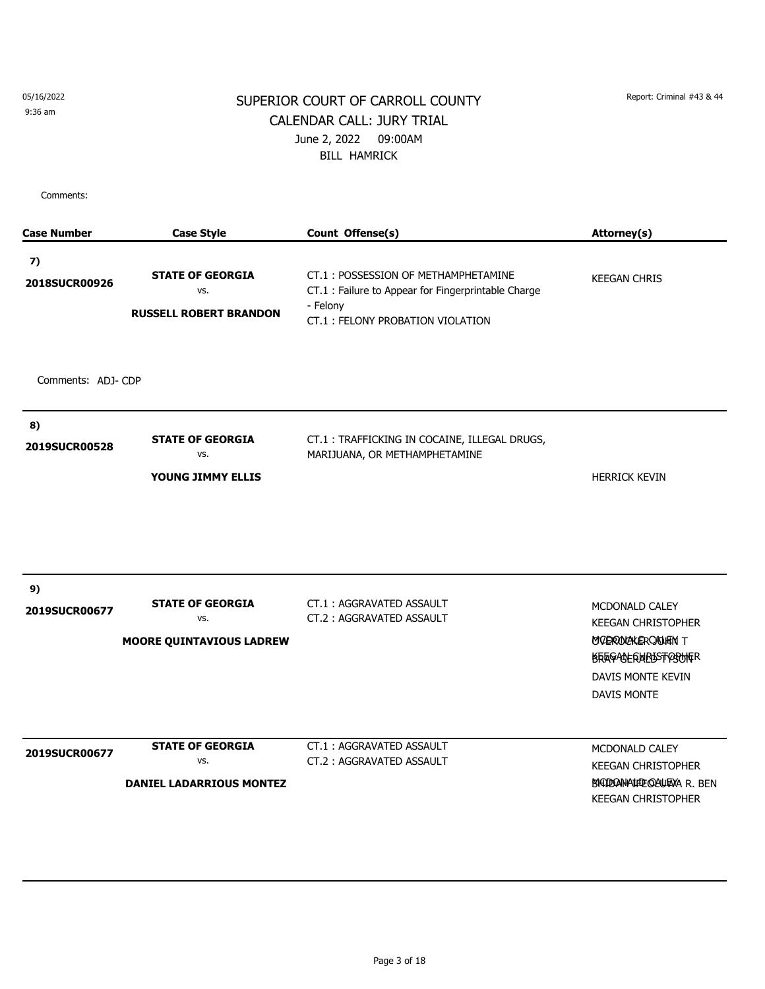9:36 am

## SUPERIOR COURT OF CARROLL COUNTY Report: Criminal #43 & 44 CALENDAR CALL: JURY TRIAL June 2, 2022 09:00AM BILL HAMRICK

| <b>Case Number</b> | <b>Case Style</b>               | Count Offense(s)                                                              | Attorney(s)                                           |
|--------------------|---------------------------------|-------------------------------------------------------------------------------|-------------------------------------------------------|
| 7)                 |                                 |                                                                               |                                                       |
| 2018SUCR00926      | <b>STATE OF GEORGIA</b>         | CT.1: POSSESSION OF METHAMPHETAMINE                                           | <b>KEEGAN CHRIS</b>                                   |
|                    | VS.                             | CT.1 : Failure to Appear for Fingerprintable Charge                           |                                                       |
|                    | <b>RUSSELL ROBERT BRANDON</b>   | - Felony<br>CT.1: FELONY PROBATION VIOLATION                                  |                                                       |
|                    |                                 |                                                                               |                                                       |
| Comments: ADJ-CDP  |                                 |                                                                               |                                                       |
| 8)                 |                                 |                                                                               |                                                       |
| 2019SUCR00528      | <b>STATE OF GEORGIA</b><br>VS.  | CT.1: TRAFFICKING IN COCAINE, ILLEGAL DRUGS,<br>MARIJUANA, OR METHAMPHETAMINE |                                                       |
|                    |                                 |                                                                               |                                                       |
|                    | YOUNG JIMMY ELLIS               |                                                                               | <b>HERRICK KEVIN</b>                                  |
|                    |                                 |                                                                               |                                                       |
| 9)                 |                                 |                                                                               |                                                       |
| 2019SUCR00677      | <b>STATE OF GEORGIA</b>         | CT.1: AGGRAVATED ASSAULT                                                      | MCDONALD CALEY                                        |
|                    | VS.                             | CT.2: AGGRAVATED ASSAULT                                                      | <b>KEEGAN CHRISTOPHER</b>                             |
|                    | <b>MOORE QUINTAVIOUS LADREW</b> |                                                                               | MODRODIZAK ERCADIEINT<br><b>KRAGACHERMPOSTREOFFRE</b> |
|                    |                                 |                                                                               | DAVIS MONTE KEVIN                                     |
|                    |                                 |                                                                               | <b>DAVIS MONTE</b>                                    |
|                    | <b>STATE OF GEORGIA</b>         | <b>CT.1: AGGRAVATED ASSAULT</b>                                               | MCDONALD CALEY                                        |
| 2019SUCR00677      | VS.                             | CT.2: AGGRAVATED ASSAULT                                                      | <b>KEEGAN CHRISTOPHER</b>                             |
|                    | <b>DANIEL LADARRIOUS MONTEZ</b> |                                                                               | BIGIDOAN-AIFLE GAULTAXA R. BEN                        |
|                    |                                 |                                                                               | <b>KEEGAN CHRISTOPHER</b>                             |
|                    |                                 |                                                                               |                                                       |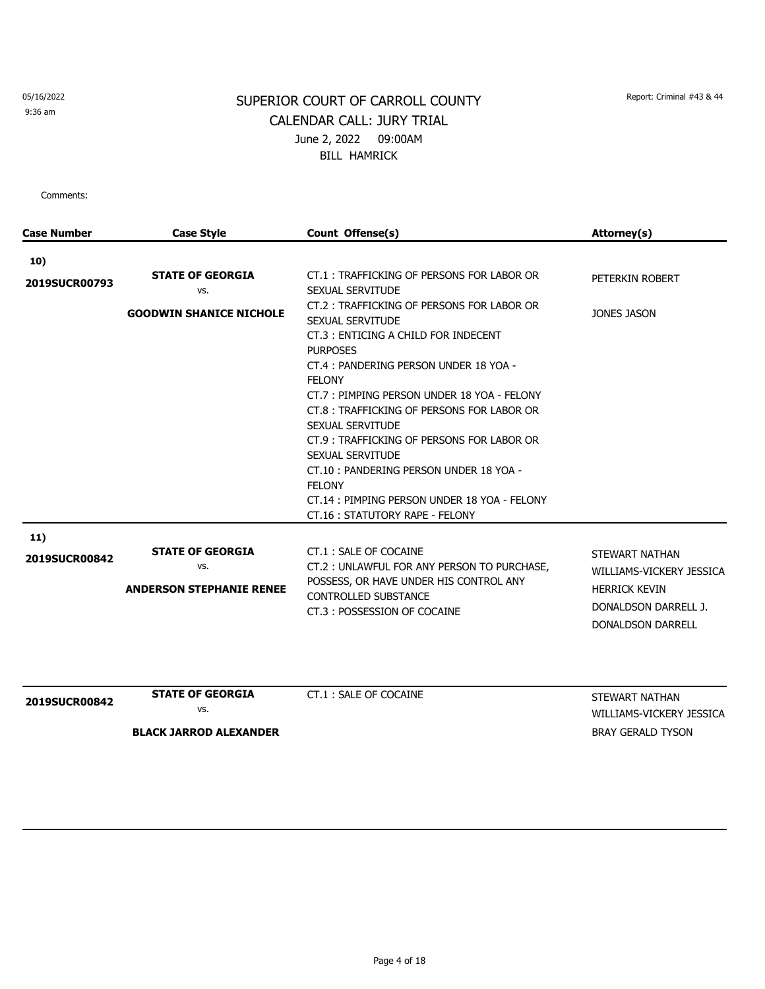9:36 am

# SUPERIOR COURT OF CARROLL COUNTY Report: Criminal #43 & 44 CALENDAR CALL: JURY TRIAL June 2, 2022 09:00AM BILL HAMRICK

| Case Number          | <b>Case Style</b>                                                 | Count Offense(s)                                                                                                                                                                                                                                                                                                                                                                                                                    | Attorney(s)                                                                                                                   |
|----------------------|-------------------------------------------------------------------|-------------------------------------------------------------------------------------------------------------------------------------------------------------------------------------------------------------------------------------------------------------------------------------------------------------------------------------------------------------------------------------------------------------------------------------|-------------------------------------------------------------------------------------------------------------------------------|
|                      |                                                                   |                                                                                                                                                                                                                                                                                                                                                                                                                                     |                                                                                                                               |
| 10)<br>2019SUCR00793 | <b>STATE OF GEORGIA</b><br>VS.<br><b>GOODWIN SHANICE NICHOLE</b>  | CT.1: TRAFFICKING OF PERSONS FOR LABOR OR<br>SEXUAL SERVITUDE<br>CT.2: TRAFFICKING OF PERSONS FOR LABOR OR<br>SEXUAL SERVITUDE<br>CT.3: ENTICING A CHILD FOR INDECENT<br><b>PURPOSES</b><br>CT.4: PANDERING PERSON UNDER 18 YOA -<br><b>FELONY</b><br>CT.7: PIMPING PERSON UNDER 18 YOA - FELONY<br>CT.8: TRAFFICKING OF PERSONS FOR LABOR OR<br>SEXUAL SERVITUDE<br>CT.9 : TRAFFICKING OF PERSONS FOR LABOR OR<br>SEXUAL SERVITUDE | PETERKIN ROBERT<br><b>JONES JASON</b>                                                                                         |
|                      |                                                                   | CT.10: PANDERING PERSON UNDER 18 YOA -<br><b>FELONY</b><br>CT.14: PIMPING PERSON UNDER 18 YOA - FELONY<br>CT.16: STATUTORY RAPE - FELONY                                                                                                                                                                                                                                                                                            |                                                                                                                               |
| 11)<br>2019SUCR00842 | <b>STATE OF GEORGIA</b><br>VS.<br><b>ANDERSON STEPHANIE RENEE</b> | CT.1: SALE OF COCAINE<br>CT.2 : UNLAWFUL FOR ANY PERSON TO PURCHASE,<br>POSSESS, OR HAVE UNDER HIS CONTROL ANY<br><b>CONTROLLED SUBSTANCE</b><br>CT.3: POSSESSION OF COCAINE                                                                                                                                                                                                                                                        | <b>STEWART NATHAN</b><br>WILLIAMS-VICKERY JESSICA<br><b>HERRICK KEVIN</b><br>DONALDSON DARRELL J.<br><b>DONALDSON DARRELL</b> |

| <b>2019SUCR00842</b> | <b>STATE OF GEORGIA</b>       | CT.1 : SALE OF COCAINE | STEWART NATHAN           |
|----------------------|-------------------------------|------------------------|--------------------------|
|                      | VS.                           |                        | WILLIAMS-VICKERY JESSICA |
|                      | <b>BLACK JARROD ALEXANDER</b> |                        | BRAY GERALD TYSON        |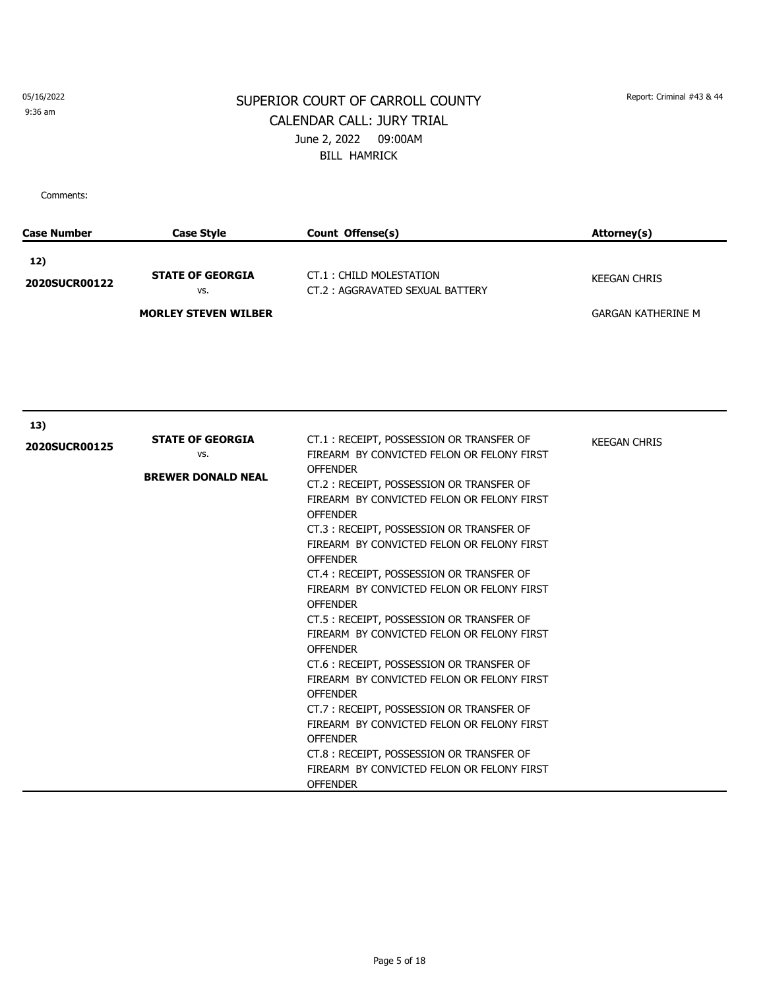9:36 am

# SUPERIOR COURT OF CARROLL COUNTY Report: Criminal #43 & 44 CALENDAR CALL: JURY TRIAL June 2, 2022 09:00AM BILL HAMRICK

| <b>Case Number</b> | <b>Case Style</b>              | Count Offense(s)                                                                                                                                                                                                                                                                                                                                                                                                                                                                                                                                                                                                                                                                                                                             | Attorney(s)               |
|--------------------|--------------------------------|----------------------------------------------------------------------------------------------------------------------------------------------------------------------------------------------------------------------------------------------------------------------------------------------------------------------------------------------------------------------------------------------------------------------------------------------------------------------------------------------------------------------------------------------------------------------------------------------------------------------------------------------------------------------------------------------------------------------------------------------|---------------------------|
| 12)                |                                |                                                                                                                                                                                                                                                                                                                                                                                                                                                                                                                                                                                                                                                                                                                                              |                           |
| 2020SUCR00122      | <b>STATE OF GEORGIA</b><br>VS. | CT.1: CHILD MOLESTATION<br>CT.2: AGGRAVATED SEXUAL BATTERY                                                                                                                                                                                                                                                                                                                                                                                                                                                                                                                                                                                                                                                                                   | <b>KEEGAN CHRIS</b>       |
|                    | <b>MORLEY STEVEN WILBER</b>    |                                                                                                                                                                                                                                                                                                                                                                                                                                                                                                                                                                                                                                                                                                                                              | <b>GARGAN KATHERINE M</b> |
|                    |                                |                                                                                                                                                                                                                                                                                                                                                                                                                                                                                                                                                                                                                                                                                                                                              |                           |
| 13)                |                                |                                                                                                                                                                                                                                                                                                                                                                                                                                                                                                                                                                                                                                                                                                                                              |                           |
| 2020SUCR00125      | <b>STATE OF GEORGIA</b><br>VS. | CT.1: RECEIPT, POSSESSION OR TRANSFER OF<br>FIREARM BY CONVICTED FELON OR FELONY FIRST                                                                                                                                                                                                                                                                                                                                                                                                                                                                                                                                                                                                                                                       | <b>KEEGAN CHRIS</b>       |
|                    | <b>BREWER DONALD NEAL</b>      | <b>OFFENDER</b><br>CT.2: RECEIPT, POSSESSION OR TRANSFER OF<br>FIREARM BY CONVICTED FELON OR FELONY FIRST<br><b>OFFENDER</b><br>CT.3: RECEIPT, POSSESSION OR TRANSFER OF<br>FIREARM BY CONVICTED FELON OR FELONY FIRST<br><b>OFFENDER</b><br>CT.4: RECEIPT, POSSESSION OR TRANSFER OF<br>FIREARM BY CONVICTED FELON OR FELONY FIRST<br><b>OFFENDER</b><br>CT.5 : RECEIPT, POSSESSION OR TRANSFER OF<br>FIREARM BY CONVICTED FELON OR FELONY FIRST<br><b>OFFENDER</b><br>CT.6 : RECEIPT, POSSESSION OR TRANSFER OF<br>FIREARM BY CONVICTED FELON OR FELONY FIRST<br><b>OFFENDER</b><br>CT.7: RECEIPT, POSSESSION OR TRANSFER OF<br>FIREARM BY CONVICTED FELON OR FELONY FIRST<br><b>OFFENDER</b><br>CT.8 : RECEIPT, POSSESSION OR TRANSFER OF |                           |
|                    |                                | FIREARM BY CONVICTED FELON OR FELONY FIRST<br><b>OFFENDER</b>                                                                                                                                                                                                                                                                                                                                                                                                                                                                                                                                                                                                                                                                                |                           |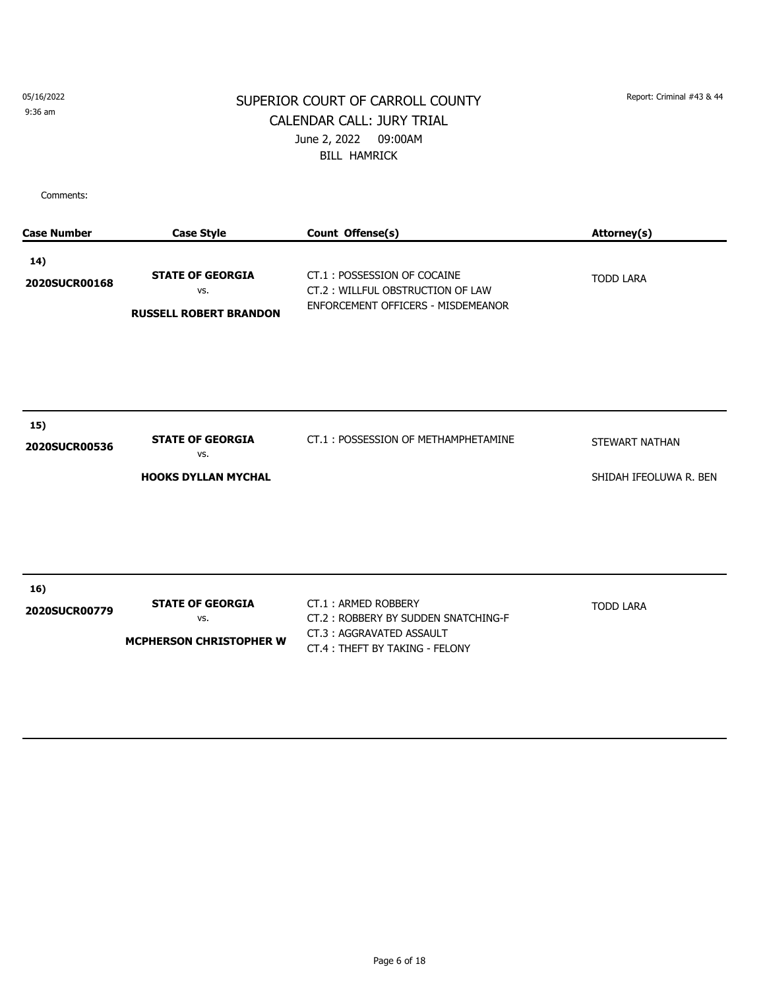9:36 am

# SUPERIOR COURT OF CARROLL COUNTY Report: Criminal #43 & 44 CALENDAR CALL: JURY TRIAL June 2, 2022 09:00AM BILL HAMRICK

| <b>Case Number</b>   | <b>Case Style</b>                                                | Count Offense(s)                                                                                                         | Attorney(s)                              |
|----------------------|------------------------------------------------------------------|--------------------------------------------------------------------------------------------------------------------------|------------------------------------------|
| 14)<br>2020SUCR00168 | <b>STATE OF GEORGIA</b><br>VS.<br><b>RUSSELL ROBERT BRANDON</b>  | CT.1: POSSESSION OF COCAINE<br>CT.2: WILLFUL OBSTRUCTION OF LAW<br>ENFORCEMENT OFFICERS - MISDEMEANOR                    | <b>TODD LARA</b>                         |
| 15)<br>2020SUCR00536 | <b>STATE OF GEORGIA</b><br>VS.<br><b>HOOKS DYLLAN MYCHAL</b>     | CT.1: POSSESSION OF METHAMPHETAMINE                                                                                      | STEWART NATHAN<br>SHIDAH IFEOLUWA R. BEN |
| 16)<br>2020SUCR00779 | <b>STATE OF GEORGIA</b><br>VS.<br><b>MCPHERSON CHRISTOPHER W</b> | CT.1: ARMED ROBBERY<br>CT.2: ROBBERY BY SUDDEN SNATCHING-F<br>CT.3: AGGRAVATED ASSAULT<br>CT.4: THEFT BY TAKING - FELONY | <b>TODD LARA</b>                         |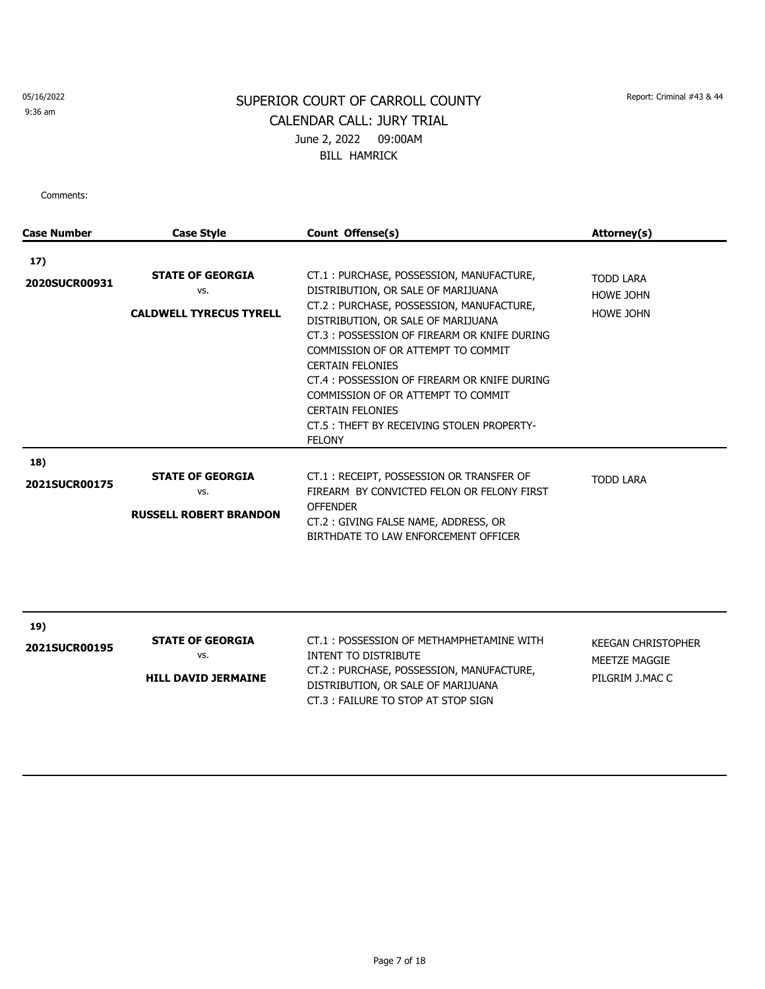9:36 am

# SUPERIOR COURT OF CARROLL COUNTY Report: Criminal #43 & 44 CALENDAR CALL: JURY TRIAL June 2, 2022 09:00AM BILL HAMRICK

| <b>Case Number</b>          | <b>Case Style</b>                                                | Count Offense(s)                                                                                                                                                                                                                                                                                                                                                                                                                                                  | Attorney(s)                                              |
|-----------------------------|------------------------------------------------------------------|-------------------------------------------------------------------------------------------------------------------------------------------------------------------------------------------------------------------------------------------------------------------------------------------------------------------------------------------------------------------------------------------------------------------------------------------------------------------|----------------------------------------------------------|
| 17)<br>2020SUCR00931        | <b>STATE OF GEORGIA</b><br>VS.<br><b>CALDWELL TYRECUS TYRELL</b> | CT.1: PURCHASE, POSSESSION, MANUFACTURE,<br>DISTRIBUTION, OR SALE OF MARIJUANA<br>CT.2: PURCHASE, POSSESSION, MANUFACTURE,<br>DISTRIBUTION, OR SALE OF MARIJUANA<br>CT.3 : POSSESSION OF FIREARM OR KNIFE DURING<br>COMMISSION OF OR ATTEMPT TO COMMIT<br><b>CERTAIN FELONIES</b><br>CT.4 : POSSESSION OF FIREARM OR KNIFE DURING<br>COMMISSION OF OR ATTEMPT TO COMMIT<br><b>CERTAIN FELONIES</b><br>CT.5 : THEFT BY RECEIVING STOLEN PROPERTY-<br><b>FELONY</b> | <b>TODD LARA</b><br><b>HOWE JOHN</b><br><b>HOWE JOHN</b> |
| 18)<br><b>2021SUCR00175</b> | <b>STATE OF GEORGIA</b><br>VS.<br><b>RUSSELL ROBERT BRANDON</b>  | CT.1: RECEIPT, POSSESSION OR TRANSFER OF<br>FIREARM BY CONVICTED FELON OR FELONY FIRST<br><b>OFFENDER</b><br>CT.2: GIVING FALSE NAME, ADDRESS, OR<br>BIRTHDATE TO LAW ENFORCEMENT OFFICER                                                                                                                                                                                                                                                                         | <b>TODD LARA</b>                                         |

| 19)<br><b>2021SUCR00195</b> | <b>STATE OF GEORGIA</b><br>vs.<br><b>HILL DAVID JERMAINE</b> | CT.1: POSSESSION OF METHAMPHETAMINE WITH<br>INTENT TO DISTRIBUTE<br>CT.2: PURCHASE, POSSESSION, MANUFACTURE,<br>DISTRIBUTION, OR SALE OF MARIJUANA<br>CT.3 : FAILURE TO STOP AT STOP SIGN | KEEGAN CHRISTOPHER<br>MEETZE MAGGIE<br>PILGRIM J.MAC C |
|-----------------------------|--------------------------------------------------------------|-------------------------------------------------------------------------------------------------------------------------------------------------------------------------------------------|--------------------------------------------------------|
|-----------------------------|--------------------------------------------------------------|-------------------------------------------------------------------------------------------------------------------------------------------------------------------------------------------|--------------------------------------------------------|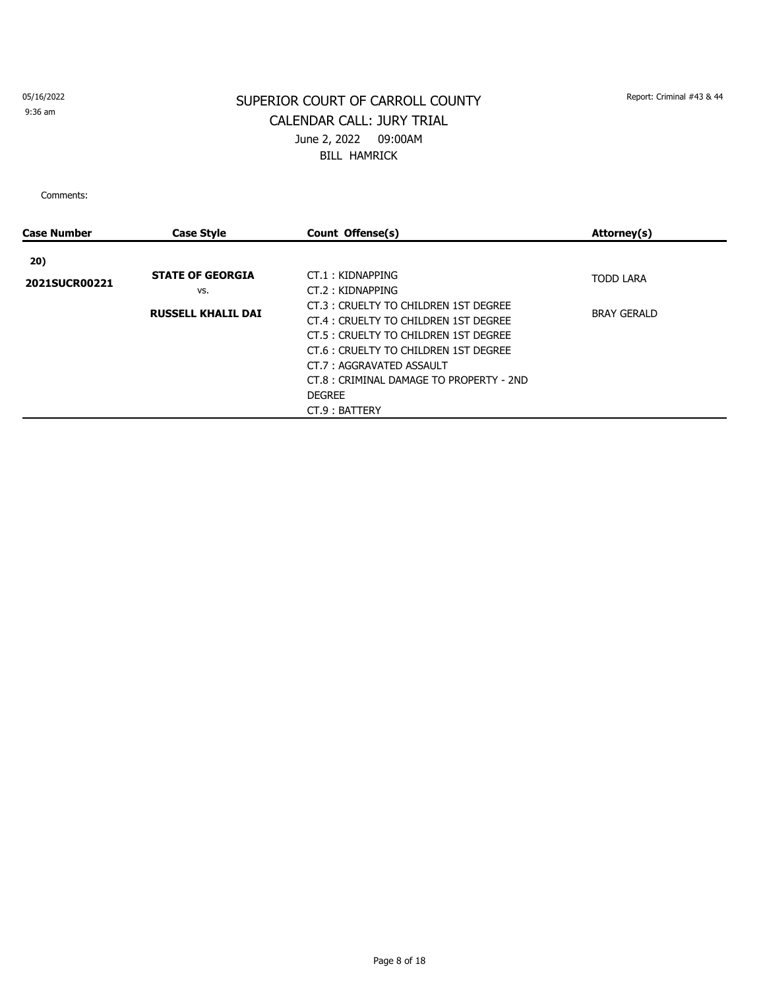9:36 am

# SUPERIOR COURT OF CARROLL COUNTY Report: Criminal #43 & 44 CALENDAR CALL: JURY TRIAL June 2, 2022 09:00AM BILL HAMRICK

| Case Number   | <b>Case Style</b>         | Count Offense(s)                         | Attorney(s)        |
|---------------|---------------------------|------------------------------------------|--------------------|
| 20)           |                           |                                          |                    |
|               | <b>STATE OF GEORGIA</b>   | CT.1: KIDNAPPING                         | <b>TODD LARA</b>   |
| 2021SUCR00221 | VS.                       | CT.2: KIDNAPPING                         |                    |
|               | <b>RUSSELL KHALIL DAI</b> | CT.3: CRUELTY TO CHILDREN 1ST DEGREE     | <b>BRAY GERALD</b> |
|               |                           | CT.4 : CRUELTY TO CHILDREN 1ST DEGREE    |                    |
|               |                           | CT.5 : CRUELTY TO CHILDREN 1ST DEGREE    |                    |
|               |                           | CT.6: CRUELTY TO CHILDREN 1ST DEGREE     |                    |
|               |                           | CT.7: AGGRAVATED ASSAULT                 |                    |
|               |                           | CT.8 : CRIMINAL DAMAGE TO PROPERTY - 2ND |                    |
|               |                           | <b>DEGREE</b>                            |                    |
|               |                           | CT.9: BATTERY                            |                    |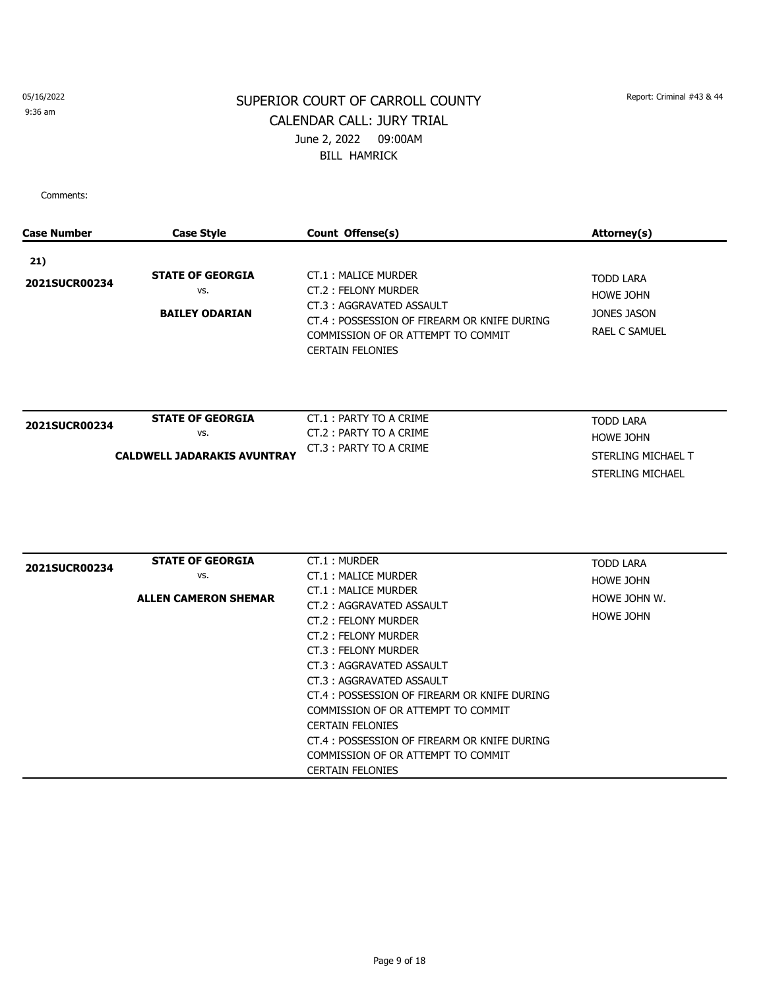9:36 am

# SUPERIOR COURT OF CARROLL COUNTY Report: Criminal #43 & 44 CALENDAR CALL: JURY TRIAL June 2, 2022 09:00AM BILL HAMRICK

| <b>Case Number</b> | <b>Case Style</b>                                       | Count Offense(s)                                                                                              | <b>Attorney(s)</b>                                  |
|--------------------|---------------------------------------------------------|---------------------------------------------------------------------------------------------------------------|-----------------------------------------------------|
| 21)                |                                                         |                                                                                                               |                                                     |
| 2021SUCR00234      | <b>STATE OF GEORGIA</b><br>VS.<br><b>BAILEY ODARIAN</b> | CT.1: MALICE MURDER<br>CT.2: FELONY MURDER<br>CT.3: AGGRAVATED ASSAULT                                        | <b>TODD LARA</b><br><b>HOWE JOHN</b><br>JONES JASON |
|                    |                                                         | CT.4 : POSSESSION OF FIREARM OR KNIFE DURING<br>COMMISSION OF OR ATTEMPT TO COMMIT<br><b>CERTAIN FELONIES</b> | <b>RAEL C SAMUEL</b>                                |
|                    | <b>STATE OF GEORGIA</b>                                 | CT.1: PARTY TO A CRIME                                                                                        |                                                     |
| 2021SUCR00234      | VS.                                                     | CT.2: PARTY TO A CRIME                                                                                        | <b>TODD LARA</b>                                    |
|                    |                                                         | CT.3: PARTY TO A CRIME                                                                                        | <b>HOWE JOHN</b>                                    |
|                    | <b>CALDWELL JADARAKIS AVUNTRAY</b>                      |                                                                                                               | STERLING MICHAEL T<br>STERLING MICHAEL              |
|                    |                                                         |                                                                                                               |                                                     |
| 2021SUCR00234      | <b>STATE OF GEORGIA</b>                                 | CT.1: MURDER                                                                                                  | <b>TODD LARA</b>                                    |
|                    | VS.                                                     | CT.1: MALICE MURDER                                                                                           | <b>HOWE JOHN</b>                                    |
|                    | <b>ALLEN CAMERON SHEMAR</b>                             | CT.1: MALICE MURDER<br>CT.2: AGGRAVATED ASSAULT                                                               | HOWE JOHN W.                                        |
|                    |                                                         | CT.2: FELONY MURDER                                                                                           | <b>HOWE JOHN</b>                                    |
|                    |                                                         | CT.2: FELONY MURDER                                                                                           |                                                     |
|                    |                                                         | CT.3: FELONY MURDER                                                                                           |                                                     |
|                    |                                                         | CT.3: AGGRAVATED ASSAULT                                                                                      |                                                     |
|                    |                                                         | CT.3: AGGRAVATED ASSAULT                                                                                      |                                                     |
|                    |                                                         | CT.4 : POSSESSION OF FIREARM OR KNIFE DURING                                                                  |                                                     |
|                    |                                                         | COMMISSION OF OR ATTEMPT TO COMMIT                                                                            |                                                     |
|                    |                                                         | <b>CERTAIN FELONIES</b>                                                                                       |                                                     |
|                    |                                                         | CT.4 : POSSESSION OF FIREARM OR KNIFE DURING                                                                  |                                                     |
|                    |                                                         | COMMISSION OF OR ATTEMPT TO COMMIT                                                                            |                                                     |
|                    |                                                         | <b>CERTAIN FELONIES</b>                                                                                       |                                                     |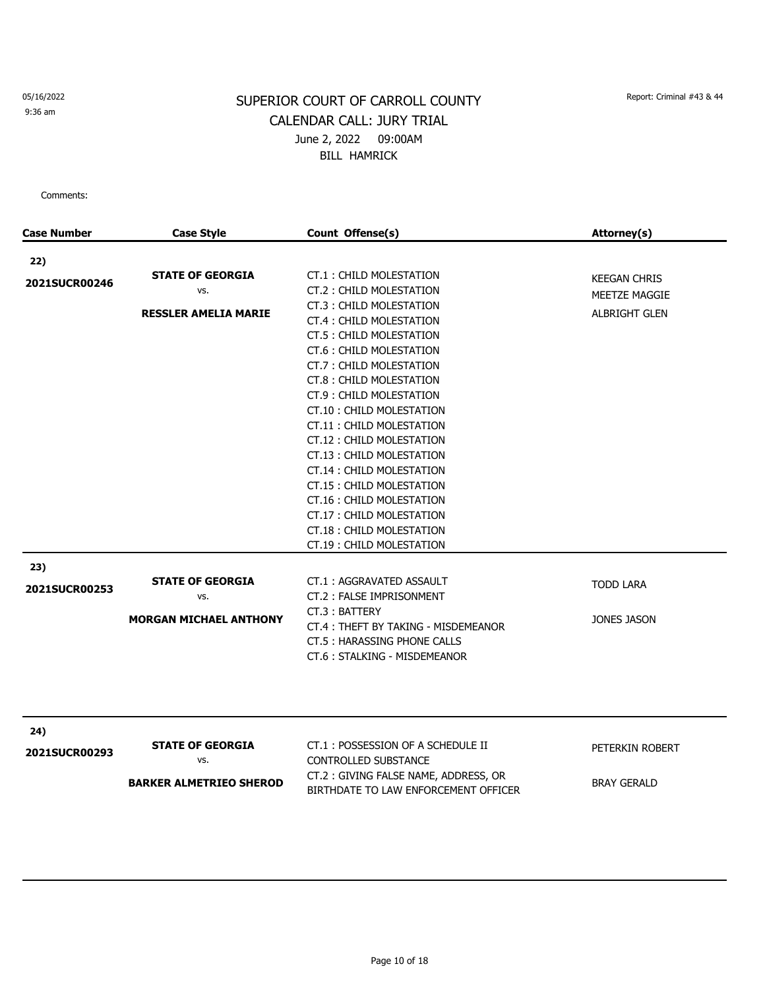9:36 am

# SUPERIOR COURT OF CARROLL COUNTY Report: Criminal #43 & 44 CALENDAR CALL: JURY TRIAL June 2, 2022 09:00AM BILL HAMRICK

| <b>Case Number</b>   | <b>Case Style</b>                                                | Count Offense(s)                                                                                                                                                                                                                                                                                                                                                                                                                                                                                               | Attorney(s)                                                  |
|----------------------|------------------------------------------------------------------|----------------------------------------------------------------------------------------------------------------------------------------------------------------------------------------------------------------------------------------------------------------------------------------------------------------------------------------------------------------------------------------------------------------------------------------------------------------------------------------------------------------|--------------------------------------------------------------|
|                      |                                                                  |                                                                                                                                                                                                                                                                                                                                                                                                                                                                                                                |                                                              |
| 22)<br>2021SUCR00246 | <b>STATE OF GEORGIA</b><br>VS.<br><b>RESSLER AMELIA MARIE</b>    | CT.1: CHILD MOLESTATION<br>CT.2: CHILD MOLESTATION<br>CT.3: CHILD MOLESTATION<br>CT.4: CHILD MOLESTATION<br>CT.5 : CHILD MOLESTATION<br>CT.6: CHILD MOLESTATION<br>CT.7: CHILD MOLESTATION<br>CT.8: CHILD MOLESTATION<br>CT.9: CHILD MOLESTATION<br>CT.10 : CHILD MOLESTATION<br>CT.11: CHILD MOLESTATION<br>CT.12: CHILD MOLESTATION<br>CT.13: CHILD MOLESTATION<br>CT.14 : CHILD MOLESTATION<br>CT.15: CHILD MOLESTATION<br>CT.16: CHILD MOLESTATION<br>CT.17: CHILD MOLESTATION<br>CT.18: CHILD MOLESTATION | <b>KEEGAN CHRIS</b><br>MEETZE MAGGIE<br><b>ALBRIGHT GLEN</b> |
|                      |                                                                  | CT.19: CHILD MOLESTATION                                                                                                                                                                                                                                                                                                                                                                                                                                                                                       |                                                              |
| 23)<br>2021SUCR00253 | <b>STATE OF GEORGIA</b><br>VS.<br><b>MORGAN MICHAEL ANTHONY</b>  | CT.1: AGGRAVATED ASSAULT<br>CT.2: FALSE IMPRISONMENT<br>CT.3: BATTERY<br>CT.4: THEFT BY TAKING - MISDEMEANOR<br>CT.5: HARASSING PHONE CALLS                                                                                                                                                                                                                                                                                                                                                                    | <b>TODD LARA</b><br>JONES JASON                              |
|                      |                                                                  | CT.6: STALKING - MISDEMEANOR                                                                                                                                                                                                                                                                                                                                                                                                                                                                                   |                                                              |
| 24)<br>2021SUCR00293 | <b>STATE OF GEORGIA</b><br>VS.<br><b>BARKER ALMETRIEO SHEROD</b> | CT.1: POSSESSION OF A SCHEDULE II<br><b>CONTROLLED SUBSTANCE</b><br>CT.2: GIVING FALSE NAME, ADDRESS, OR<br>BIRTHDATE TO LAW ENFORCEMENT OFFICER                                                                                                                                                                                                                                                                                                                                                               | PETERKIN ROBERT<br><b>BRAY GERALD</b>                        |
|                      |                                                                  |                                                                                                                                                                                                                                                                                                                                                                                                                                                                                                                |                                                              |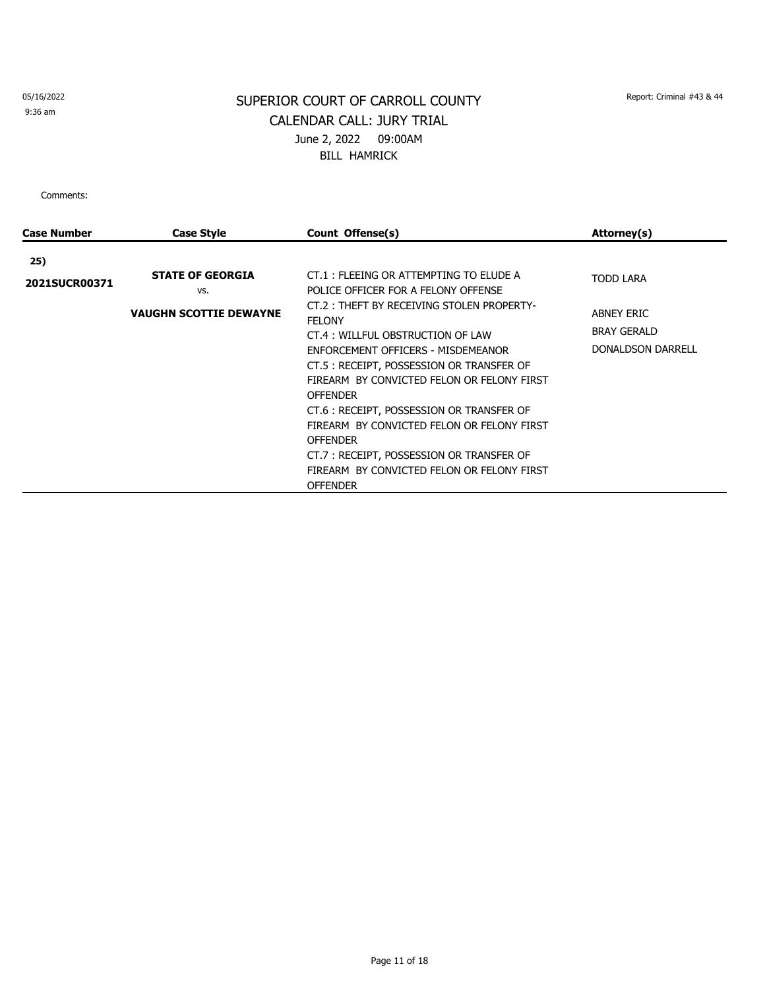9:36 am

# SUPERIOR COURT OF CARROLL COUNTY Report: Criminal #43 & 44 CALENDAR CALL: JURY TRIAL June 2, 2022 09:00AM BILL HAMRICK

| Case Number   | <b>Case Style</b>              | Count Offense(s)                                                              | Attorney(s)              |
|---------------|--------------------------------|-------------------------------------------------------------------------------|--------------------------|
| 25)           |                                |                                                                               |                          |
| 2021SUCR00371 | <b>STATE OF GEORGIA</b><br>VS. | CT.1: FLEEING OR ATTEMPTING TO ELUDE A<br>POLICE OFFICER FOR A FELONY OFFENSE | <b>TODD LARA</b>         |
|               | <b>VAUGHN SCOTTIE DEWAYNE</b>  | CT.2: THEFT BY RECEIVING STOLEN PROPERTY-<br><b>FELONY</b>                    | ABNEY ERIC               |
|               |                                | CT.4: WILLFUL OBSTRUCTION OF LAW                                              | <b>BRAY GERALD</b>       |
|               |                                | ENFORCEMENT OFFICERS - MISDEMEANOR                                            | <b>DONALDSON DARRELL</b> |
|               |                                | CT.5: RECEIPT, POSSESSION OR TRANSFER OF                                      |                          |
|               |                                | FIREARM BY CONVICTED FELON OR FELONY FIRST<br><b>OFFENDER</b>                 |                          |
|               |                                | CT.6 : RECEIPT, POSSESSION OR TRANSFER OF                                     |                          |
|               |                                | FIREARM BY CONVICTED FELON OR FELONY FIRST                                    |                          |
|               |                                | <b>OFFENDER</b>                                                               |                          |
|               |                                | CT.7: RECEIPT, POSSESSION OR TRANSFER OF                                      |                          |
|               |                                | FIREARM BY CONVICTED FELON OR FELONY FIRST                                    |                          |
|               |                                | <b>OFFENDER</b>                                                               |                          |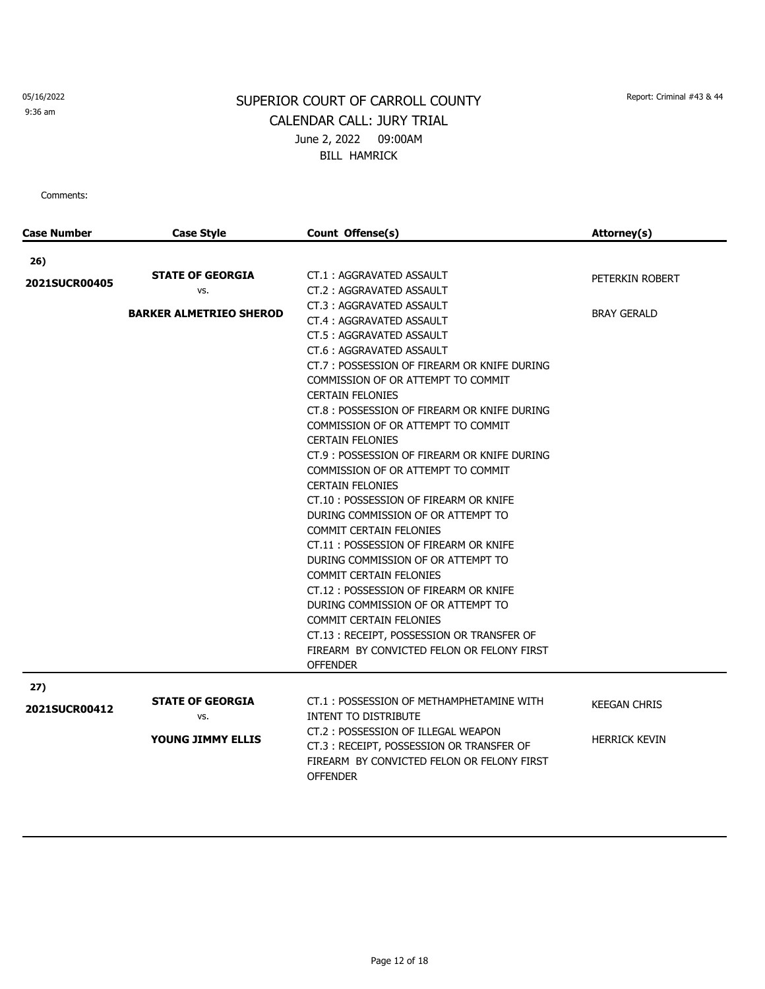9:36 am

# SUPERIOR COURT OF CARROLL COUNTY Report: Criminal #43 & 44 CALENDAR CALL: JURY TRIAL June 2, 2022 09:00AM BILL HAMRICK

| <b>Case Number</b>          | <b>Case Style</b>                                                | Count Offense(s)                                                                                                                                                                                                                                                                                                                                                                                                                                          | Attorney(s)                           |
|-----------------------------|------------------------------------------------------------------|-----------------------------------------------------------------------------------------------------------------------------------------------------------------------------------------------------------------------------------------------------------------------------------------------------------------------------------------------------------------------------------------------------------------------------------------------------------|---------------------------------------|
|                             |                                                                  |                                                                                                                                                                                                                                                                                                                                                                                                                                                           |                                       |
| 26)<br><b>2021SUCR00405</b> | <b>STATE OF GEORGIA</b><br>VS.<br><b>BARKER ALMETRIEO SHEROD</b> | CT.1: AGGRAVATED ASSAULT<br>CT.2: AGGRAVATED ASSAULT<br>CT.3: AGGRAVATED ASSAULT<br>CT.4: AGGRAVATED ASSAULT<br>CT.5: AGGRAVATED ASSAULT<br>CT.6: AGGRAVATED ASSAULT<br>CT.7: POSSESSION OF FIREARM OR KNIFE DURING<br>COMMISSION OF OR ATTEMPT TO COMMIT<br><b>CERTAIN FELONIES</b><br>CT.8 : POSSESSION OF FIREARM OR KNIFE DURING<br>COMMISSION OF OR ATTEMPT TO COMMIT                                                                                | PETERKIN ROBERT<br><b>BRAY GERALD</b> |
|                             |                                                                  | <b>CERTAIN FELONIES</b><br>CT.9 : POSSESSION OF FIREARM OR KNIFE DURING<br>COMMISSION OF OR ATTEMPT TO COMMIT<br><b>CERTAIN FELONIES</b><br>CT.10: POSSESSION OF FIREARM OR KNIFE<br>DURING COMMISSION OF OR ATTEMPT TO<br><b>COMMIT CERTAIN FELONIES</b><br>CT.11: POSSESSION OF FIREARM OR KNIFE<br>DURING COMMISSION OF OR ATTEMPT TO<br><b>COMMIT CERTAIN FELONIES</b><br>CT.12: POSSESSION OF FIREARM OR KNIFE<br>DURING COMMISSION OF OR ATTEMPT TO |                                       |
|                             |                                                                  | <b>COMMIT CERTAIN FELONIES</b><br>CT.13: RECEIPT, POSSESSION OR TRANSFER OF<br>FIREARM BY CONVICTED FELON OR FELONY FIRST<br><b>OFFENDER</b>                                                                                                                                                                                                                                                                                                              |                                       |
| 27)                         | <b>STATE OF GEORGIA</b>                                          | CT.1: POSSESSION OF METHAMPHETAMINE WITH                                                                                                                                                                                                                                                                                                                                                                                                                  |                                       |
| <b>2021SUCR00412</b>        | VS.                                                              | <b>INTENT TO DISTRIBUTE</b>                                                                                                                                                                                                                                                                                                                                                                                                                               | <b>KEEGAN CHRIS</b>                   |
|                             | <b>YOUNG JIMMY ELLIS</b>                                         | CT.2: POSSESSION OF ILLEGAL WEAPON<br>CT.3: RECEIPT, POSSESSION OR TRANSFER OF<br>FIREARM BY CONVICTED FELON OR FELONY FIRST<br><b>OFFENDER</b>                                                                                                                                                                                                                                                                                                           | <b>HERRICK KEVIN</b>                  |
|                             |                                                                  |                                                                                                                                                                                                                                                                                                                                                                                                                                                           |                                       |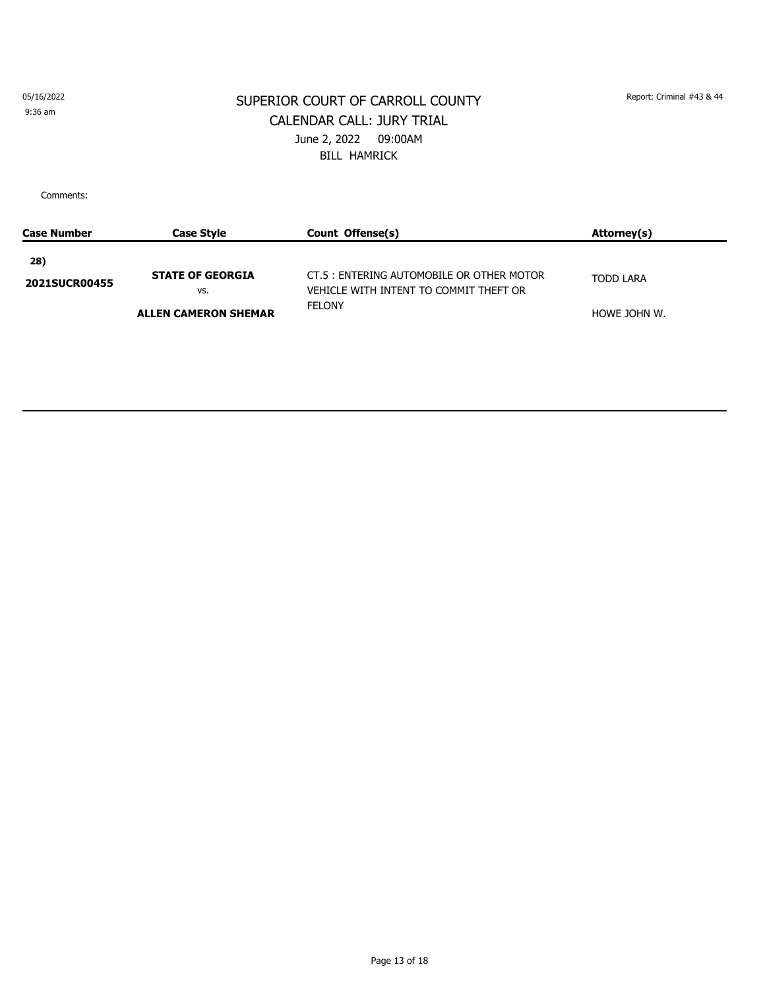9:36 am

#### SUPERIOR COURT OF CARROLL COUNTY Report: Criminal #43 & 44 CALENDAR CALL: JURY TRIAL June 2, 2022 09:00AM BILL HAMRICK

| Case Number                 | <b>Case Style</b>                                             | Count Offense(s)                                                                                     | Attorney(s)                      |
|-----------------------------|---------------------------------------------------------------|------------------------------------------------------------------------------------------------------|----------------------------------|
| 28)<br><b>2021SUCR00455</b> | <b>STATE OF GEORGIA</b><br>VS.<br><b>ALLEN CAMERON SHEMAR</b> | CT.5 : ENTERING AUTOMOBILE OR OTHER MOTOR<br>VEHICLE WITH INTENT TO COMMIT THEFT OR<br><b>FELONY</b> | <b>TODD LARA</b><br>HOWE JOHN W. |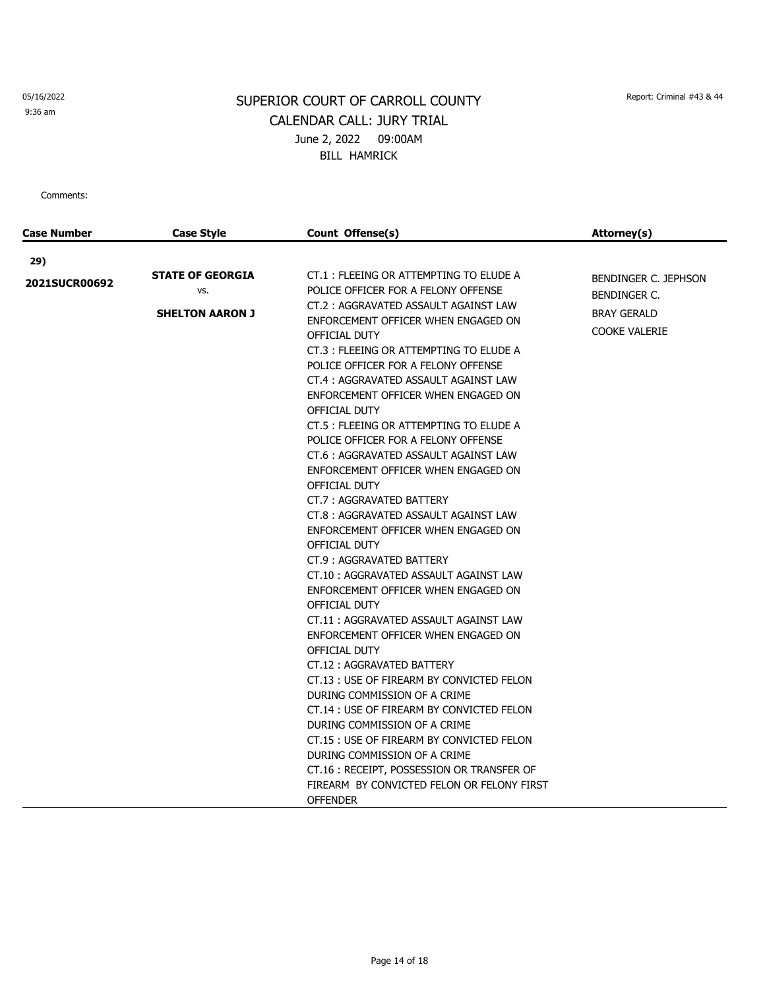9:36 am

# SUPERIOR COURT OF CARROLL COUNTY Report: Criminal #43 & 44 CALENDAR CALL: JURY TRIAL June 2, 2022 09:00AM BILL HAMRICK

| <b>Case Number</b>          | Case Style                                               | Count Offense(s)                                                                                                                                                                                                                                                                                                                                                                                                                                                                                                                                                                                                                                                                                                                                                                                                                                                                                                                                                                                                                                                                                                                                                                                                            | Attorney(s)                                                                               |
|-----------------------------|----------------------------------------------------------|-----------------------------------------------------------------------------------------------------------------------------------------------------------------------------------------------------------------------------------------------------------------------------------------------------------------------------------------------------------------------------------------------------------------------------------------------------------------------------------------------------------------------------------------------------------------------------------------------------------------------------------------------------------------------------------------------------------------------------------------------------------------------------------------------------------------------------------------------------------------------------------------------------------------------------------------------------------------------------------------------------------------------------------------------------------------------------------------------------------------------------------------------------------------------------------------------------------------------------|-------------------------------------------------------------------------------------------|
|                             |                                                          |                                                                                                                                                                                                                                                                                                                                                                                                                                                                                                                                                                                                                                                                                                                                                                                                                                                                                                                                                                                                                                                                                                                                                                                                                             |                                                                                           |
| 29)<br><b>2021SUCR00692</b> | <b>STATE OF GEORGIA</b><br>VS.<br><b>SHELTON AARON J</b> | CT.1: FLEEING OR ATTEMPTING TO ELUDE A<br>POLICE OFFICER FOR A FELONY OFFENSE<br>CT.2: AGGRAVATED ASSAULT AGAINST LAW<br>ENFORCEMENT OFFICER WHEN ENGAGED ON<br>OFFICIAL DUTY<br>CT.3: FLEEING OR ATTEMPTING TO ELUDE A<br>POLICE OFFICER FOR A FELONY OFFENSE<br>CT.4: AGGRAVATED ASSAULT AGAINST LAW<br>ENFORCEMENT OFFICER WHEN ENGAGED ON<br>OFFICIAL DUTY<br>CT.5 : FLEEING OR ATTEMPTING TO ELUDE A<br>POLICE OFFICER FOR A FELONY OFFENSE<br>CT.6: AGGRAVATED ASSAULT AGAINST LAW<br>ENFORCEMENT OFFICER WHEN ENGAGED ON<br>OFFICIAL DUTY<br>CT.7: AGGRAVATED BATTERY<br>CT.8: AGGRAVATED ASSAULT AGAINST LAW<br>ENFORCEMENT OFFICER WHEN ENGAGED ON<br>OFFICIAL DUTY<br>CT.9: AGGRAVATED BATTERY<br>CT.10: AGGRAVATED ASSAULT AGAINST LAW<br>ENFORCEMENT OFFICER WHEN ENGAGED ON<br>OFFICIAL DUTY<br>CT.11: AGGRAVATED ASSAULT AGAINST LAW<br>ENFORCEMENT OFFICER WHEN ENGAGED ON<br>OFFICIAL DUTY<br>CT.12: AGGRAVATED BATTERY<br>CT.13 : USE OF FIREARM BY CONVICTED FELON<br>DURING COMMISSION OF A CRIME<br>CT.14 : USE OF FIREARM BY CONVICTED FELON<br>DURING COMMISSION OF A CRIME<br>CT.15 : USE OF FIREARM BY CONVICTED FELON<br>DURING COMMISSION OF A CRIME<br>CT.16: RECEIPT, POSSESSION OR TRANSFER OF | BENDINGER C. JEPHSON<br><b>BENDINGER C.</b><br><b>BRAY GERALD</b><br><b>COOKE VALERIE</b> |
|                             |                                                          | FIREARM BY CONVICTED FELON OR FELONY FIRST<br><b>OFFENDER</b>                                                                                                                                                                                                                                                                                                                                                                                                                                                                                                                                                                                                                                                                                                                                                                                                                                                                                                                                                                                                                                                                                                                                                               |                                                                                           |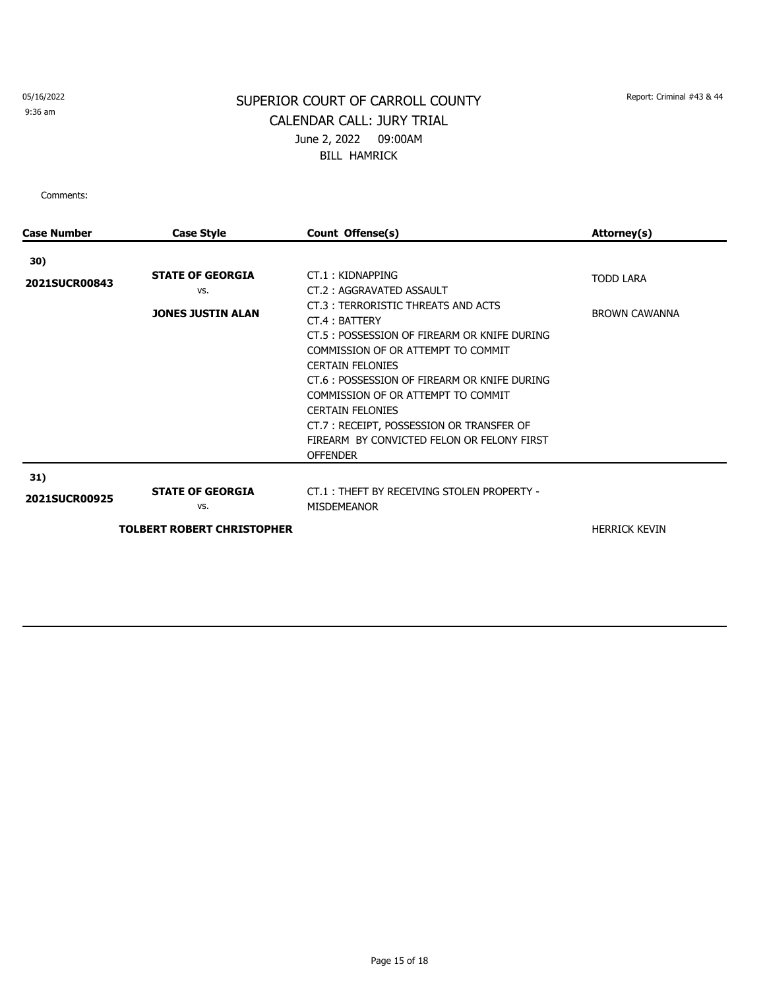9:36 am

# SUPERIOR COURT OF CARROLL COUNTY Report: Criminal #43 & 44 CALENDAR CALL: JURY TRIAL June 2, 2022 09:00AM BILL HAMRICK

| <b>Case Style</b>                                          | Count Offense(s)                                                                                                                                                                                                                                                                                                                                                                                                                                   | Attorney(s)                              |
|------------------------------------------------------------|----------------------------------------------------------------------------------------------------------------------------------------------------------------------------------------------------------------------------------------------------------------------------------------------------------------------------------------------------------------------------------------------------------------------------------------------------|------------------------------------------|
|                                                            |                                                                                                                                                                                                                                                                                                                                                                                                                                                    |                                          |
| <b>STATE OF GEORGIA</b><br>VS.<br><b>JONES JUSTIN ALAN</b> | CT.1: KIDNAPPING<br>CT.2: AGGRAVATED ASSAULT<br>CT.3: TERRORISTIC THREATS AND ACTS<br>CT.4: BATTERY<br>CT.5 : POSSESSION OF FIREARM OR KNIFE DURING<br>COMMISSION OF OR ATTEMPT TO COMMIT<br><b>CERTAIN FELONIES</b><br>CT.6 : POSSESSION OF FIREARM OR KNIFE DURING<br>COMMISSION OF OR ATTEMPT TO COMMIT<br><b>CERTAIN FELONIES</b><br>CT.7: RECEIPT, POSSESSION OR TRANSFER OF<br>FIREARM BY CONVICTED FELON OR FELONY FIRST<br><b>OFFENDER</b> | <b>TODD LARA</b><br><b>BROWN CAWANNA</b> |
| <b>STATE OF GEORGIA</b><br>VS.                             | CT.1: THEFT BY RECEIVING STOLEN PROPERTY -<br><b>MISDEMEANOR</b>                                                                                                                                                                                                                                                                                                                                                                                   | <b>HERRICK KEVIN</b>                     |
|                                                            |                                                                                                                                                                                                                                                                                                                                                                                                                                                    | <b>TOLBERT ROBERT CHRISTOPHER</b>        |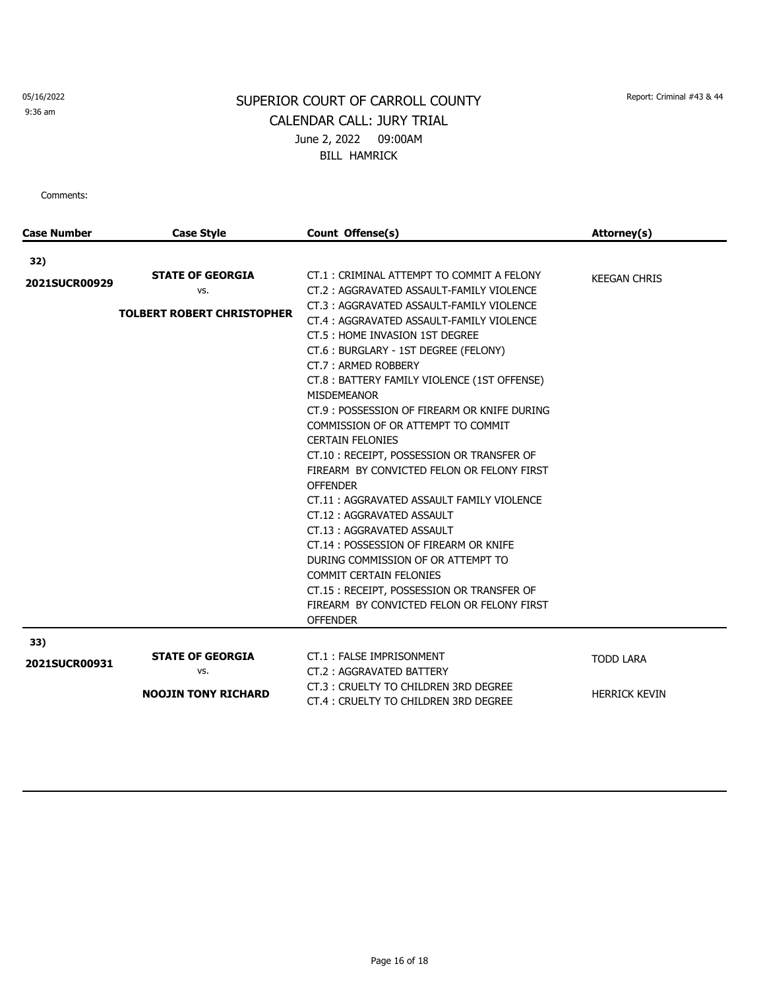9:36 am

# SUPERIOR COURT OF CARROLL COUNTY Report: Criminal #43 & 44 CALENDAR CALL: JURY TRIAL June 2, 2022 09:00AM BILL HAMRICK

| <b>Case Number</b>   | <b>Case Style</b>                                                   | Count Offense(s)                                                                                                                                                                                                                                                                                                                                                                                                                                                                                                                                                                                                                                                                                                                                                                                                                                                                                       | Attorney(s)                              |
|----------------------|---------------------------------------------------------------------|--------------------------------------------------------------------------------------------------------------------------------------------------------------------------------------------------------------------------------------------------------------------------------------------------------------------------------------------------------------------------------------------------------------------------------------------------------------------------------------------------------------------------------------------------------------------------------------------------------------------------------------------------------------------------------------------------------------------------------------------------------------------------------------------------------------------------------------------------------------------------------------------------------|------------------------------------------|
| 32)                  |                                                                     |                                                                                                                                                                                                                                                                                                                                                                                                                                                                                                                                                                                                                                                                                                                                                                                                                                                                                                        |                                          |
| 2021SUCR00929        | <b>STATE OF GEORGIA</b><br>VS.<br><b>TOLBERT ROBERT CHRISTOPHER</b> | CT.1: CRIMINAL ATTEMPT TO COMMIT A FELONY<br>CT.2: AGGRAVATED ASSAULT-FAMILY VIOLENCE<br>CT.3: AGGRAVATED ASSAULT-FAMILY VIOLENCE<br>CT.4: AGGRAVATED ASSAULT-FAMILY VIOLENCE<br>CT.5 : HOME INVASION 1ST DEGREE<br>CT.6 : BURGLARY - 1ST DEGREE (FELONY)<br>CT.7: ARMED ROBBERY<br>CT.8: BATTERY FAMILY VIOLENCE (1ST OFFENSE)<br><b>MISDEMEANOR</b><br>CT.9: POSSESSION OF FIREARM OR KNIFE DURING<br>COMMISSION OF OR ATTEMPT TO COMMIT<br><b>CERTAIN FELONIES</b><br>CT.10: RECEIPT, POSSESSION OR TRANSFER OF<br>FIREARM BY CONVICTED FELON OR FELONY FIRST<br><b>OFFENDER</b><br>CT.11: AGGRAVATED ASSAULT FAMILY VIOLENCE<br>CT.12: AGGRAVATED ASSAULT<br>CT.13: AGGRAVATED ASSAULT<br>CT.14: POSSESSION OF FIREARM OR KNIFE<br>DURING COMMISSION OF OR ATTEMPT TO<br><b>COMMIT CERTAIN FELONIES</b><br>CT.15: RECEIPT, POSSESSION OR TRANSFER OF<br>FIREARM BY CONVICTED FELON OR FELONY FIRST | <b>KEEGAN CHRIS</b>                      |
|                      |                                                                     | <b>OFFENDER</b>                                                                                                                                                                                                                                                                                                                                                                                                                                                                                                                                                                                                                                                                                                                                                                                                                                                                                        |                                          |
| 33)<br>2021SUCR00931 | <b>STATE OF GEORGIA</b><br>VS.<br><b>NOOJIN TONY RICHARD</b>        | CT.1: FALSE IMPRISONMENT<br>CT.2: AGGRAVATED BATTERY<br>CT.3: CRUELTY TO CHILDREN 3RD DEGREE<br>CT.4: CRUELTY TO CHILDREN 3RD DEGREE                                                                                                                                                                                                                                                                                                                                                                                                                                                                                                                                                                                                                                                                                                                                                                   | <b>TODD LARA</b><br><b>HERRICK KEVIN</b> |
|                      |                                                                     |                                                                                                                                                                                                                                                                                                                                                                                                                                                                                                                                                                                                                                                                                                                                                                                                                                                                                                        |                                          |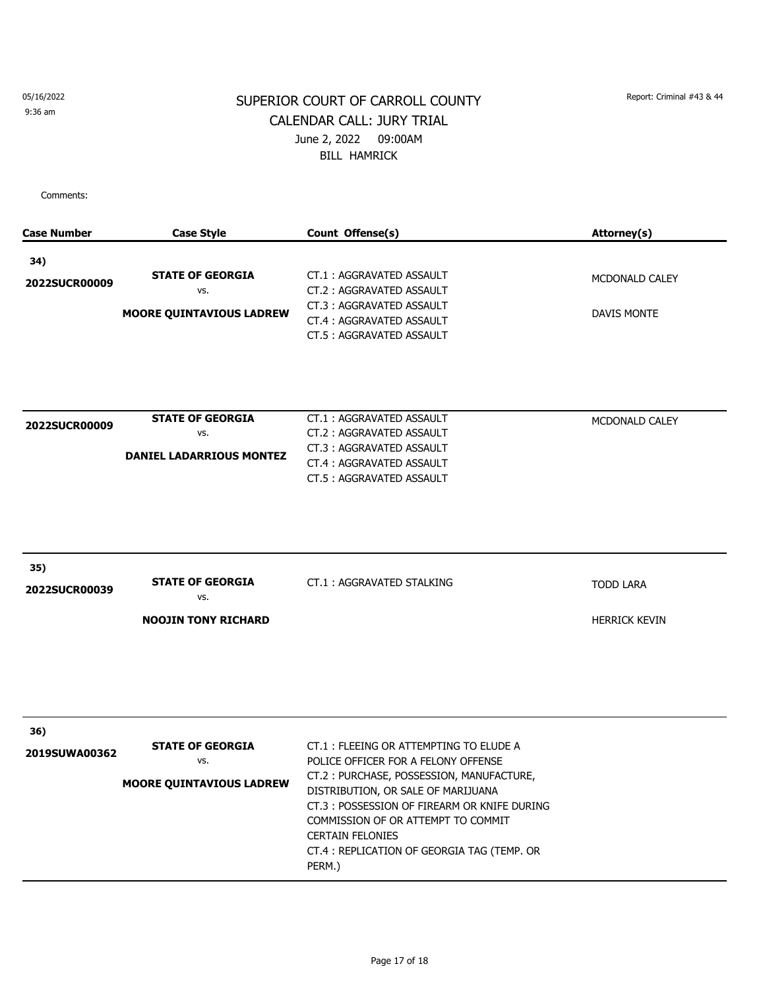9:36 am

# SUPERIOR COURT OF CARROLL COUNTY Report: Criminal #43 & 44 CALENDAR CALL: JURY TRIAL June 2, 2022 09:00AM BILL HAMRICK

| <b>Case Number</b>   | <b>Case Style</b>                                                 | Count Offense(s)                                                                                                                                                                                                                                                                                                                         | Attorney(s)                              |
|----------------------|-------------------------------------------------------------------|------------------------------------------------------------------------------------------------------------------------------------------------------------------------------------------------------------------------------------------------------------------------------------------------------------------------------------------|------------------------------------------|
| 34)<br>2022SUCR00009 | <b>STATE OF GEORGIA</b><br>VS.<br><b>MOORE QUINTAVIOUS LADREW</b> | CT.1: AGGRAVATED ASSAULT<br>CT.2: AGGRAVATED ASSAULT<br>CT.3: AGGRAVATED ASSAULT<br>CT.4: AGGRAVATED ASSAULT<br>CT.5: AGGRAVATED ASSAULT                                                                                                                                                                                                 | MCDONALD CALEY<br>DAVIS MONTE            |
| 2022SUCR00009        | <b>STATE OF GEORGIA</b><br>VS.<br><b>DANIEL LADARRIOUS MONTEZ</b> | CT.1: AGGRAVATED ASSAULT<br>CT.2: AGGRAVATED ASSAULT<br>CT.3: AGGRAVATED ASSAULT<br>CT.4: AGGRAVATED ASSAULT<br>CT.5: AGGRAVATED ASSAULT                                                                                                                                                                                                 | MCDONALD CALEY                           |
| 35)<br>2022SUCR00039 | <b>STATE OF GEORGIA</b><br>VS.<br><b>NOOJIN TONY RICHARD</b>      | CT.1: AGGRAVATED STALKING                                                                                                                                                                                                                                                                                                                | <b>TODD LARA</b><br><b>HERRICK KEVIN</b> |
| 36)<br>2019SUWA00362 | <b>STATE OF GEORGIA</b><br>VS.<br><b>MOORE QUINTAVIOUS LADREW</b> | CT.1: FLEEING OR ATTEMPTING TO ELUDE A<br>POLICE OFFICER FOR A FELONY OFFENSE<br>CT.2: PURCHASE, POSSESSION, MANUFACTURE,<br>DISTRIBUTION, OR SALE OF MARIJUANA<br>CT.3 : POSSESSION OF FIREARM OR KNIFE DURING<br>COMMISSION OF OR ATTEMPT TO COMMIT<br><b>CERTAIN FELONIES</b><br>CT.4: REPLICATION OF GEORGIA TAG (TEMP. OR<br>PERM.) |                                          |